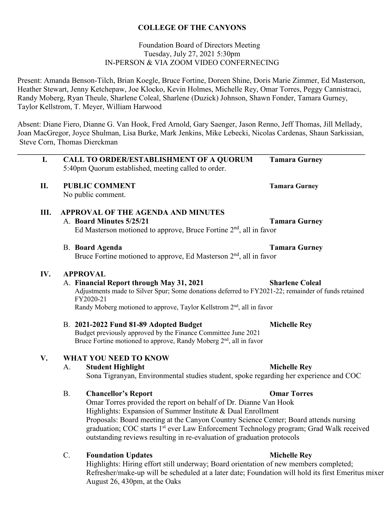# **COLLEGE OF THE CANYONS**

## Foundation Board of Directors Meeting Tuesday, July 27, 2021 5:30pm IN-PERSON & VIA ZOOM VIDEO CONFERNECING

Present: Amanda Benson-Tilch, Brian Koegle, Bruce Fortine, Doreen Shine, Doris Marie Zimmer, Ed Masterson, Heather Stewart, Jenny Ketchepaw, Joe Klocko, Kevin Holmes, Michelle Rey, Omar Torres, Peggy Cannistraci, Randy Moberg, Ryan Theule, Sharlene Coleal, Sharlene (Duzick) Johnson, Shawn Fonder, Tamara Gurney, Taylor Kellstrom, T. Meyer, William Harwood

Absent: Diane Fiero, Dianne G. Van Hook, Fred Arnold, Gary Saenger, Jason Renno, Jeff Thomas, Jill Mellady, Joan MacGregor, Joyce Shulman, Lisa Burke, Mark Jenkins, Mike Lebecki, Nicolas Cardenas, Shaun Sarkissian, Steve Corn, Thomas Dierckman

**\_\_\_\_\_\_\_\_\_\_\_\_\_\_\_\_\_\_\_\_\_\_\_\_\_\_\_\_\_\_\_\_\_\_\_\_\_\_\_\_\_\_\_\_\_\_\_\_\_\_\_\_\_\_\_\_\_\_\_\_\_\_\_\_\_\_\_\_\_\_\_\_\_\_\_\_\_\_\_\_\_\_\_\_\_\_\_\_\_\_\_** 

| I.  |                                                                                                        | <b>CALL TO ORDER/ESTABLISHMENT OF A QUORUM</b><br>5:40pm Quorum established, meeting called to order. | <b>Tamara Gurney</b>   |  |  |
|-----|--------------------------------------------------------------------------------------------------------|-------------------------------------------------------------------------------------------------------|------------------------|--|--|
| II. |                                                                                                        | <b>PUBLIC COMMENT</b>                                                                                 | <b>Tamara Gurney</b>   |  |  |
|     |                                                                                                        | No public comment.                                                                                    |                        |  |  |
| Ш.  | <b>APPROVAL OF THE AGENDA AND MINUTES</b>                                                              |                                                                                                       |                        |  |  |
|     |                                                                                                        | A. Board Minutes 5/25/21                                                                              | <b>Tamara Gurney</b>   |  |  |
|     | Ed Masterson motioned to approve, Bruce Fortine 2 <sup>nd</sup> , all in favor                         |                                                                                                       |                        |  |  |
|     |                                                                                                        | <b>B.</b> Board Agenda                                                                                | <b>Tamara Gurney</b>   |  |  |
|     |                                                                                                        | Bruce Fortine motioned to approve, Ed Masterson $2nd$ , all in favor                                  |                        |  |  |
| IV. |                                                                                                        | <b>APPROVAL</b>                                                                                       |                        |  |  |
|     |                                                                                                        | A. Financial Report through May 31, 2021                                                              | <b>Sharlene Coleal</b> |  |  |
|     | Adjustments made to Silver Spur; Some donations deferred to FY2021-22; remainder of funds retained     |                                                                                                       |                        |  |  |
|     |                                                                                                        | FY2020-21                                                                                             |                        |  |  |
|     | Randy Moberg motioned to approve, Taylor Kellstrom 2 <sup>nd</sup> , all in favor                      |                                                                                                       |                        |  |  |
|     |                                                                                                        | B. 2021-2022 Fund 81-89 Adopted Budget                                                                | <b>Michelle Rey</b>    |  |  |
|     |                                                                                                        | Budget previously approved by the Finance Committee June 2021                                         |                        |  |  |
|     |                                                                                                        | Bruce Fortine motioned to approve, Randy Moberg 2 <sup>nd</sup> , all in favor                        |                        |  |  |
| V.  | <b>WHAT YOU NEED TO KNOW</b>                                                                           |                                                                                                       |                        |  |  |
|     | A.                                                                                                     | <b>Student Highlight</b>                                                                              | <b>Michelle Rey</b>    |  |  |
|     | Sona Tigranyan, Environmental studies student, spoke regarding her experience and COC                  |                                                                                                       |                        |  |  |
|     | <b>B.</b>                                                                                              | <b>Chancellor's Report</b>                                                                            | <b>Omar Torres</b>     |  |  |
|     | Omar Torres provided the report on behalf of Dr. Dianne Van Hook                                       |                                                                                                       |                        |  |  |
|     | Highlights: Expansion of Summer Institute & Dual Enrollment                                            |                                                                                                       |                        |  |  |
|     | $D_{\rm{noncon}}$ $P_{\rm{noncon}}$ mosting at the Canyon Country Second Contage Deard attends purging |                                                                                                       |                        |  |  |

 Proposals: Board meeting at the Canyon Country Science Center; Board attends nursing graduation; COC starts 1<sup>st</sup> ever Law Enforcement Technology program; Grad Walk received outstanding reviews resulting in re-evaluation of graduation protocols

## C. **Foundation Updates Michelle Rey**

Highlights: Hiring effort still underway; Board orientation of new members completed; Refresher/make-up will be scheduled at a later date; Foundation will hold its first Emeritus mixer August 26, 430pm, at the Oaks